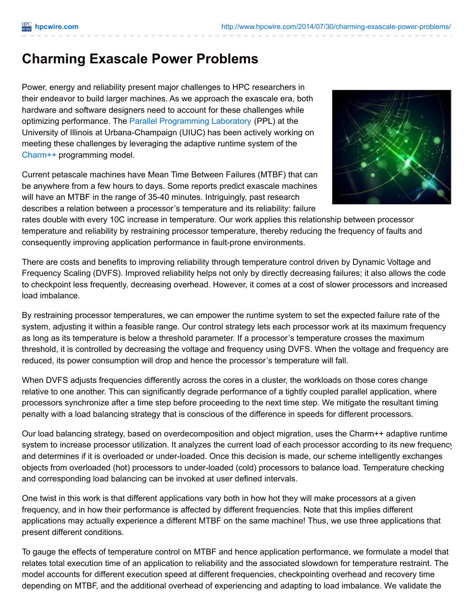## **Charming Exascale Power Problems**

Power, energy and reliability present major challenges to HPC researchers in their endeavor to build larger machines. As we approach the exascale era, both hardware and software designers need to account for these challenges while optimizing performance. The Parallel [Programming](http://ppl.cs.illinois.edu/) Laboratory (PPL) at the University of Illinois at Urbana-Champaign (UIUC) has been actively working on meeting these challenges by leveraging the adaptive runtime system of the [Charm++](http://charmplusplus.org/) programming model.

Current petascale machines have Mean Time Between Failures (MTBF) that can be anywhere from a few hours to days. Some reports predict exascale machines will have an MTBF in the range of 35-40 minutes. Intriguingly, past research describes a relation between a processor's temperature and its reliability: failure



rates double with every 10C increase in temperature. Our work applies this relationship between processor temperature and reliability by restraining processor temperature, thereby reducing the frequency of faults and consequently improving application performance in fault-prone environments.

There are costs and benefits to improving reliability through temperature control driven by Dynamic Voltage and Frequency Scaling (DVFS). Improved reliability helps not only by directly decreasing failures; it also allows the code to checkpoint less frequently, decreasing overhead. However, it comes at a cost of slower processors and increased load imbalance.

By restraining processor temperatures, we can empower the runtime system to set the expected failure rate of the system, adjusting it within a feasible range. Our control strategy lets each processor work at its maximum frequency as long as its temperature is below a threshold parameter. If a processor's temperature crosses the maximum threshold, it is controlled by decreasing the voltage and frequency using DVFS. When the voltage and frequency are reduced, its power consumption will drop and hence the processor's temperature will fall.

When DVFS adjusts frequencies differently across the cores in a cluster, the workloads on those cores change relative to one another. This can significantly degrade performance of a tightly coupled parallel application, where processors synchronize after a time step before proceeding to the next time step. We mitigate the resultant timing penalty with a load balancing strategy that is conscious of the difference in speeds for different processors.

Our load balancing strategy, based on overdecomposition and object migration, uses the Charm++ adaptive runtime system to increase processor utilization. It analyzes the current load of each processor according to its new frequency and determines if it is overloaded or under-loaded. Once this decision is made, our scheme intelligently exchanges objects from overloaded (hot) processors to under-loaded (cold) processors to balance load. Temperature checking and corresponding load balancing can be invoked at user defined intervals.

One twist in this work is that different applications vary both in how hot they will make processors at a given frequency, and in how their performance is affected by different frequencies. Note that this implies different applications may actually experience a different MTBF on the same machine! Thus, we use three applications that present different conditions.

To gauge the effects of temperature control on MTBF and hence application performance, we formulate a model that relates total execution time of an application to reliability and the associated slowdown for temperature restraint. The model accounts for different execution speed at different frequencies, checkpointing overhead and recovery time depending on MTBF, and the additional overhead of experiencing and adapting to load imbalance. We validate the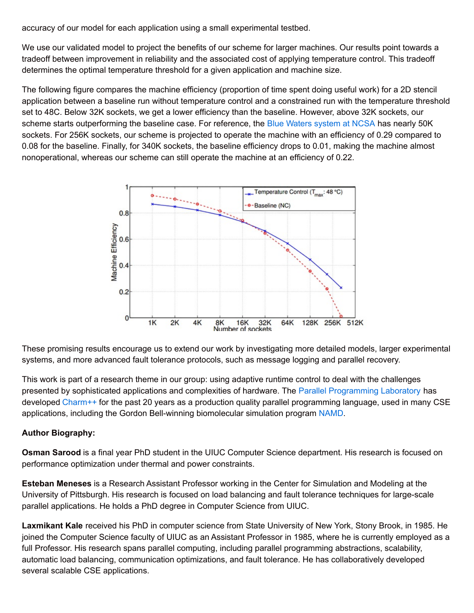accuracy of our model for each application using a small experimental testbed.

We use our validated model to project the benefits of our scheme for larger machines. Our results point towards a tradeoff between improvement in reliability and the associated cost of applying temperature control. This tradeoff determines the optimal temperature threshold for a given application and machine size.

The following figure compares the machine efficiency (proportion of time spent doing useful work) for a 2D stencil application between a baseline run without temperature control and a constrained run with the temperature threshold set to 48C. Below 32K sockets, we get a lower efficiency than the baseline. However, above 32K sockets, our scheme starts outperforming the baseline case. For reference, the Blue Waters [system](https://bluewaters.ncsa.illinois.edu/hardware-summary) at NCSA has nearly 50K sockets. For 256K sockets, our scheme is projected to operate the machine with an efficiency of 0.29 compared to 0.08 for the baseline. Finally, for 340K sockets, the baseline efficiency drops to 0.01, making the machine almost nonoperational, whereas our scheme can still operate the machine at an efficiency of 0.22.



These promising results encourage us to extend our work by investigating more detailed models, larger experimental systems, and more advanced fault tolerance protocols, such as message logging and parallel recovery.

This work is part of a research theme in our group: using adaptive runtime control to deal with the challenges presented by sophisticated applications and complexities of hardware. The Parallel [Programming](http://ppl.cs.illinois.edu/) Laboratory has developed [Charm++](http://charmplusplus.org/) for the past 20 years as a production quality parallel programming language, used in many CSE applications, including the Gordon Bell-winning biomolecular simulation program [NAMD](http://www.ks.uiuc.edu/Research/namd/).

## **Author Biography:**

**Osman Sarood** is a final year PhD student in the UIUC Computer Science department. His research is focused on performance optimization under thermal and power constraints.

**Esteban Meneses** is a Research Assistant Professor working in the Center for Simulation and Modeling at the University of Pittsburgh. His research is focused on load balancing and fault tolerance techniques for large-scale parallel applications. He holds a PhD degree in Computer Science from UIUC.

**Laxmikant Kale** received his PhD in computer science from State University of New York, Stony Brook, in 1985. He joined the Computer Science faculty of UIUC as an Assistant Professor in 1985, where he is currently employed as a full Professor. His research spans parallel computing, including parallel programming abstractions, scalability, automatic load balancing, communication optimizations, and fault tolerance. He has collaboratively developed several scalable CSE applications.